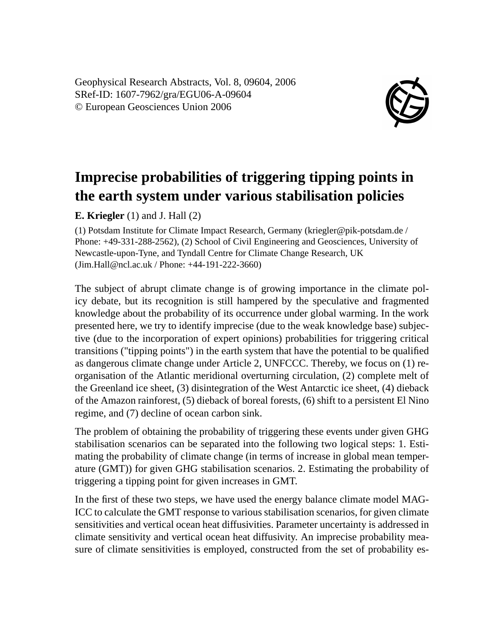Geophysical Research Abstracts, Vol. 8, 09604, 2006 SRef-ID: 1607-7962/gra/EGU06-A-09604 © European Geosciences Union 2006



## **Imprecise probabilities of triggering tipping points in the earth system under various stabilisation policies**

**E. Kriegler** (1) and J. Hall (2)

(1) Potsdam Institute for Climate Impact Research, Germany (kriegler@pik-potsdam.de / Phone: +49-331-288-2562), (2) School of Civil Engineering and Geosciences, University of Newcastle-upon-Tyne, and Tyndall Centre for Climate Change Research, UK (Jim.Hall@ncl.ac.uk / Phone: +44-191-222-3660)

The subject of abrupt climate change is of growing importance in the climate policy debate, but its recognition is still hampered by the speculative and fragmented knowledge about the probability of its occurrence under global warming. In the work presented here, we try to identify imprecise (due to the weak knowledge base) subjective (due to the incorporation of expert opinions) probabilities for triggering critical transitions ("tipping points") in the earth system that have the potential to be qualified as dangerous climate change under Article 2, UNFCCC. Thereby, we focus on (1) reorganisation of the Atlantic meridional overturning circulation, (2) complete melt of the Greenland ice sheet, (3) disintegration of the West Antarctic ice sheet, (4) dieback of the Amazon rainforest, (5) dieback of boreal forests, (6) shift to a persistent El Nino regime, and (7) decline of ocean carbon sink.

The problem of obtaining the probability of triggering these events under given GHG stabilisation scenarios can be separated into the following two logical steps: 1. Estimating the probability of climate change (in terms of increase in global mean temperature (GMT)) for given GHG stabilisation scenarios. 2. Estimating the probability of triggering a tipping point for given increases in GMT.

In the first of these two steps, we have used the energy balance climate model MAG-ICC to calculate the GMT response to various stabilisation scenarios, for given climate sensitivities and vertical ocean heat diffusivities. Parameter uncertainty is addressed in climate sensitivity and vertical ocean heat diffusivity. An imprecise probability measure of climate sensitivities is employed, constructed from the set of probability es